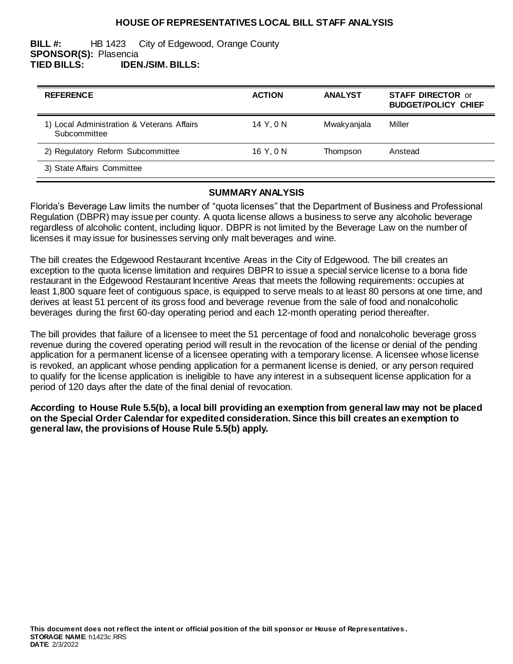## **HOUSE OF REPRESENTATIVES LOCAL BILL STAFF ANALYSIS**

#### **BILL #:** HB 1423 City of Edgewood, Orange County **SPONSOR(S):** Plasencia **TIED BILLS: IDEN./SIM. BILLS:**

| <b>REFERENCE</b>                                           | <b>ACTION</b> | <b>ANALYST</b> | <b>STAFF DIRECTOR or</b><br><b>BUDGET/POLICY CHIEF</b> |
|------------------------------------------------------------|---------------|----------------|--------------------------------------------------------|
| 1) Local Administration & Veterans Affairs<br>Subcommittee | 14 Y.ON       | Mwakyanjala    | Miller                                                 |
| 2) Regulatory Reform Subcommittee                          | 16 Y, 0 N     | Thompson       | Anstead                                                |
| 3) State Affairs Committee                                 |               |                |                                                        |

#### **SUMMARY ANALYSIS**

Florida's Beverage Law limits the number of "quota licenses" that the Department of Business and Professional Regulation (DBPR) may issue per county. A quota license allows a business to serve any alcoholic beverage regardless of alcoholic content, including liquor. DBPR is not limited by the Beverage Law on the number of licenses it may issue for businesses serving only malt beverages and wine.

The bill creates the Edgewood Restaurant Incentive Areas in the City of Edgewood. The bill creates an exception to the quota license limitation and requires DBPR to issue a special service license to a bona fide restaurant in the Edgewood Restaurant Incentive Areas that meets the following requirements: occupies at least 1,800 square feet of contiguous space, is equipped to serve meals to at least 80 persons at one time, and derives at least 51 percent of its gross food and beverage revenue from the sale of food and nonalcoholic beverages during the first 60-day operating period and each 12-month operating period thereafter.

The bill provides that failure of a licensee to meet the 51 percentage of food and nonalcoholic beverage gross revenue during the covered operating period will result in the revocation of the license or denial of the pending application for a permanent license of a licensee operating with a temporary license. A licensee whose license is revoked, an applicant whose pending application for a permanent license is denied, or any person required to qualify for the license application is ineligible to have any interest in a subsequent license application for a period of 120 days after the date of the final denial of revocation.

**According to House Rule 5.5(b), a local bill providing an exemption from general law may not be placed on the Special Order Calendar for expedited consideration. Since this bill creates an exemption to general law, the provisions of House Rule 5.5(b) apply.**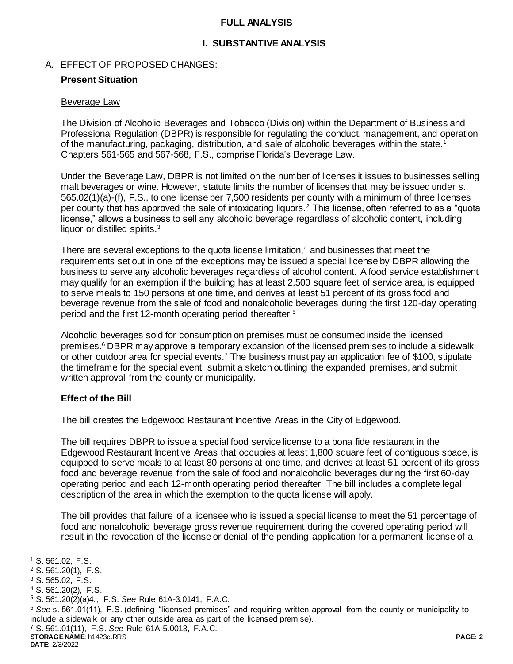## **FULL ANALYSIS**

## **I. SUBSTANTIVE ANALYSIS**

## A. EFFECT OF PROPOSED CHANGES:

# **Present Situation**

## Beverage Law

The Division of Alcoholic Beverages and Tobacco (Division) within the Department of Business and Professional Regulation (DBPR) is responsible for regulating the conduct, management, and operation of the manufacturing, packaging, distribution, and sale of alcoholic beverages within the state.<sup>1</sup> Chapters 561-565 and 567-568, F.S., comprise Florida's Beverage Law.

Under the Beverage Law, DBPR is not limited on the number of licenses it issues to businesses selling malt beverages or wine. However, statute limits the number of licenses that may be issued under s. 565.02(1)(a)-(f), F.S., to one license per 7,500 residents per county with a minimum of three licenses per county that has approved the sale of intoxicating liquors.<sup>2</sup> This license, often referred to as a "quota license," allows a business to sell any alcoholic beverage regardless of alcoholic content, including liquor or distilled spirits.<sup>3</sup>

There are several exceptions to the quota license limitation, $4$  and businesses that meet the requirements set out in one of the exceptions may be issued a special license by DBPR allowing the business to serve any alcoholic beverages regardless of alcohol content. A food service establishment may qualify for an exemption if the building has at least 2,500 square feet of service area, is equipped to serve meals to 150 persons at one time, and derives at least 51 percent of its gross food and beverage revenue from the sale of food and nonalcoholic beverages during the first 120-day operating period and the first 12-month operating period thereafter.<sup>5</sup>

Alcoholic beverages sold for consumption on premises must be consumed inside the licensed premises.<sup>6</sup> DBPR may approve a temporary expansion of the licensed premises to include a sidewalk or other outdoor area for special events.<sup>7</sup> The business must pay an application fee of \$100, stipulate the timeframe for the special event, submit a sketch outlining the expanded premises, and submit written approval from the county or municipality.

## **Effect of the Bill**

The bill creates the Edgewood Restaurant Incentive Areas in the City of Edgewood.

The bill requires DBPR to issue a special food service license to a bona fide restaurant in the Edgewood Restaurant Incentive Areas that occupies at least 1,800 square feet of contiguous space, is equipped to serve meals to at least 80 persons at one time, and derives at least 51 percent of its gross food and beverage revenue from the sale of food and nonalcoholic beverages during the first 60-day operating period and each 12-month operating period thereafter. The bill includes a complete legal description of the area in which the exemption to the quota license will apply.

The bill provides that failure of a licensee who is issued a special license to meet the 51 percentage of food and nonalcoholic beverage gross revenue requirement during the covered operating period will result in the revocation of the license or denial of the pending application for a permanent license of a

l

- <sup>4</sup> S. 561.20(2), F.S.
- <sup>5</sup> S. 561.20(2)(a)4., F.S. *See* Rule 61A-3.0141, F.A.C.
- <sup>6</sup> *See* s. 561.01(11), F.S. (defining "licensed premises" and requiring written approval from the county or municipality to include a sidewalk or any other outside area as part of the licensed premise).

<sup>7</sup> S. 561.01(11), F.S. *See* Rule 61A-5.0013, F.A.C.

**STORAGE NAME**: h1423c.RRS **PAGE: 2**

<sup>1</sup> S. 561.02, F.S.

<sup>2</sup> S. 561.20(1), F.S.

<sup>3</sup> S. 565.02, F.S.